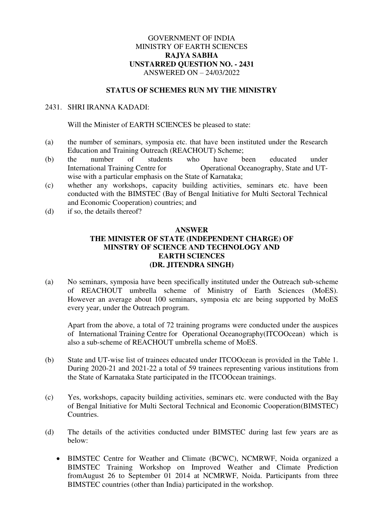## GOVERNMENT OF INDIA MINISTRY OF EARTH SCIENCES **RAJYA SABHA UNSTARRED QUESTION NO. - 2431**  ANSWERED ON – 24/03/2022

## **STATUS OF SCHEMES RUN MY THE MINISTRY**

## 2431. SHRI IRANNA KADADI:

Will the Minister of EARTH SCIENCES be pleased to state:

- (a) the number of seminars, symposia etc. that have been instituted under the Research Education and Training Outreach (REACHOUT) Scheme;
- (b) the number of students who have been educated under International Training Centre for Operational Oceanography, State and UTwise with a particular emphasis on the State of Karnataka;
- (c) whether any workshops, capacity building activities, seminars etc. have been conducted with the BIMSTEC (Bay of Bengal Initiative for Multi Sectoral Technical and Economic Cooperation) countries; and
- (d) if so, the details thereof?

## **ANSWER THE MINISTER OF STATE (INDEPENDENT CHARGE) OF MINSTRY OF SCIENCE AND TECHNOLOGY AND EARTH SCIENCES (DR. JITENDRA SINGH)**

(a) No seminars, symposia have been specifically instituted under the Outreach sub-scheme of REACHOUT umbrella scheme of Ministry of Earth Sciences (MoES). However an average about 100 seminars, symposia etc are being supported by MoES every year, under the Outreach program.

Apart from the above, a total of 72 training programs were conducted under the auspices of International Training Centre for Operational Oceanography(ITCOOcean) which is also a sub-scheme of REACHOUT umbrella scheme of MoES.

- (b) State and UT-wise list of trainees educated under ITCOOcean is provided in the Table 1. During 2020-21 and 2021-22 a total of 59 trainees representing various institutions from the State of Karnataka State participated in the ITCOOcean trainings.
- (c) Yes, workshops, capacity building activities, seminars etc. were conducted with the Bay of Bengal Initiative for Multi Sectoral Technical and Economic Cooperation(BIMSTEC) Countries.
- (d) The details of the activities conducted under BIMSTEC during last few years are as below:
	- BIMSTEC Centre for Weather and Climate (BCWC), NCMRWF, Noida organized a BIMSTEC Training Workshop on Improved Weather and Climate Prediction fromAugust 26 to September 01 2014 at NCMRWF, Noida. Participants from three BIMSTEC countries (other than India) participated in the workshop.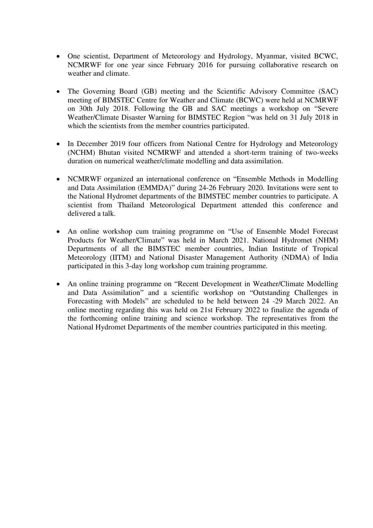- One scientist, Department of Meteorology and Hydrology, Myanmar, visited BCWC, NCMRWF for one year since February 2016 for pursuing collaborative research on weather and climate.
- The Governing Board (GB) meeting and the Scientific Advisory Committee (SAC) meeting of BIMSTEC Centre for Weather and Climate (BCWC) were held at NCMRWF on 30th July 2018. Following the GB and SAC meetings a workshop on "Severe Weather/Climate Disaster Warning for BIMSTEC Region "was held on 31 July 2018 in which the scientists from the member countries participated.
- In December 2019 four officers from National Centre for Hydrology and Meteorology (NCHM) Bhutan visited NCMRWF and attended a short-term training of two-weeks duration on numerical weather/climate modelling and data assimilation.
- NCMRWF organized an international conference on "Ensemble Methods in Modelling and Data Assimilation (EMMDA)" during 24-26 February 2020. Invitations were sent to the National Hydromet departments of the BIMSTEC member countries to participate. A scientist from Thailand Meteorological Department attended this conference and delivered a talk.
- An online workshop cum training programme on "Use of Ensemble Model Forecast Products for Weather/Climate" was held in March 2021. National Hydromet (NHM) Departments of all the BIMSTEC member countries, Indian Institute of Tropical Meteorology (IITM) and National Disaster Management Authority (NDMA) of India participated in this 3-day long workshop cum training programme.
- An online training programme on "Recent Development in Weather/Climate Modelling and Data Assimilation" and a scientific workshop on "Outstanding Challenges in Forecasting with Models" are scheduled to be held between 24 -29 March 2022. An online meeting regarding this was held on 21st February 2022 to finalize the agenda of the forthcoming online training and science workshop. The representatives from the National Hydromet Departments of the member countries participated in this meeting.